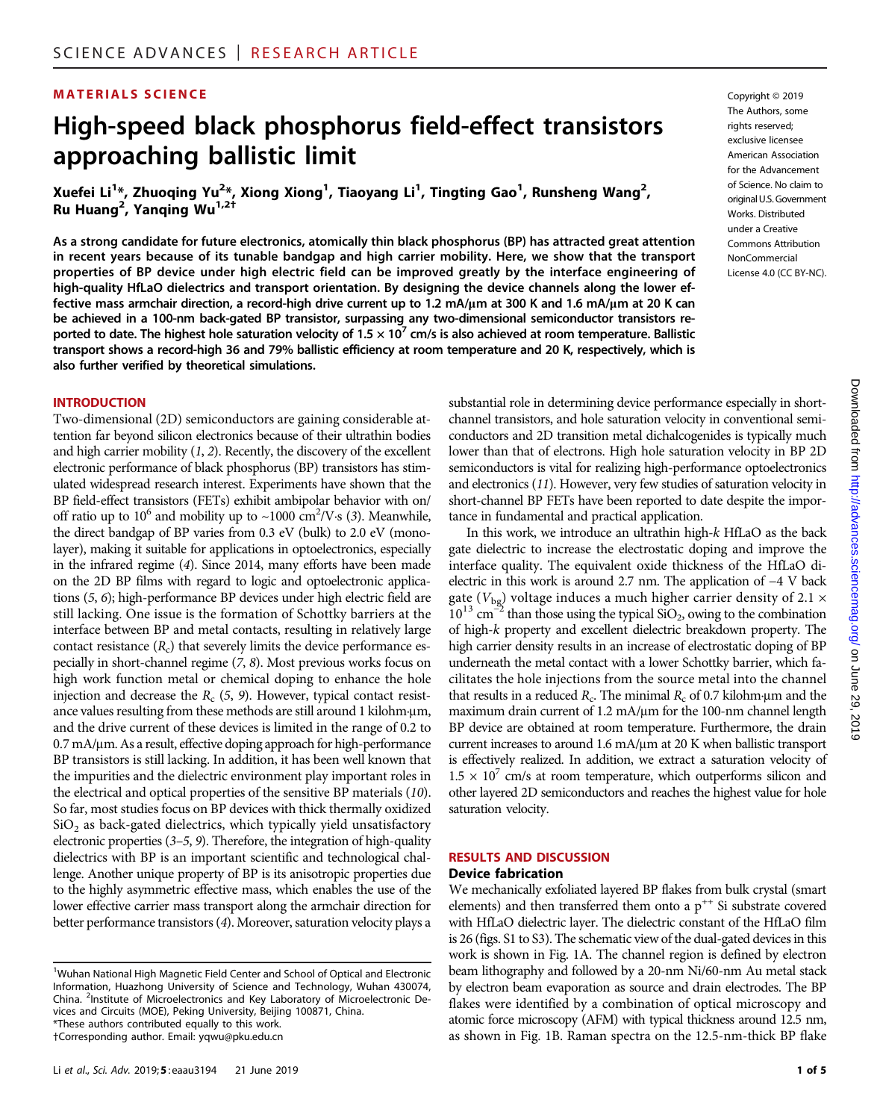### MATERIALS SCIENCE Copyright © 2019

# High-speed black phosphorus field-effect transistors approaching ballistic limit

Xuefei Li<sup>1</sup>\*, Zhuoqing Yu<sup>2</sup>\*, Xiong Xiong<sup>1</sup>, Tiaoyang Li<sup>1</sup>, Tingting Gao<sup>1</sup>, Runsheng Wang<sup>2</sup>, Ru Huang<sup>2</sup>, Yanqing Wu<sup>1,2+</sup>

As a strong candidate for future electronics, atomically thin black phosphorus (BP) has attracted great attention in recent years because of its tunable bandgap and high carrier mobility. Here, we show that the transport properties of BP device under high electric field can be improved greatly by the interface engineering of high-quality HfLaO dielectrics and transport orientation. By designing the device channels along the lower effective mass armchair direction, a record-high drive current up to 1.2 mA/ $\mu$ m at 300 K and 1.6 mA/ $\mu$ m at 20 K can be achieved in a 100-nm back-gated BP transistor, surpassing any two-dimensional semiconductor transistors reported to date. The highest hole saturation velocity of  $1.5 \times 10^7$  cm/s is also achieved at room temperature. Ballistic transport shows a record-high 36 and 79% ballistic efficiency at room temperature and 20 K, respectively, which is also further verified by theoretical simulations.

#### **INTRODUCTION**

Two-dimensional (2D) semiconductors are gaining considerable attention far beyond silicon electronics because of their ultrathin bodies and high carrier mobility  $(1, 2)$ . Recently, the discovery of the excellent electronic performance of black phosphorus (BP) transistors has stimulated widespread research interest. Experiments have shown that the BP field-effect transistors (FETs) exhibit ambipolar behavior with on/ off ratio up to  $10^6$  and mobility up to ~1000 cm<sup>2</sup>/V·s (3). Meanwhile, the direct bandgap of BP varies from 0.3 eV (bulk) to 2.0 eV (monolayer), making it suitable for applications in optoelectronics, especially in the infrared regime (4). Since 2014, many efforts have been made on the 2D BP films with regard to logic and optoelectronic applications (5, 6); high-performance BP devices under high electric field are still lacking. One issue is the formation of Schottky barriers at the interface between BP and metal contacts, resulting in relatively large contact resistance  $(R<sub>c</sub>)$  that severely limits the device performance especially in short-channel regime (7, 8). Most previous works focus on high work function metal or chemical doping to enhance the hole injection and decrease the  $R_c$  (5, 9). However, typical contact resistance values resulting from these methods are still around 1 kilohm-um, and the drive current of these devices is limited in the range of 0.2 to 0.7 mA/µm. As a result, effective doping approach for high-performance BP transistors is still lacking. In addition, it has been well known that the impurities and the dielectric environment play important roles in the electrical and optical properties of the sensitive BP materials (10). So far, most studies focus on BP devices with thick thermally oxidized  $SiO<sub>2</sub>$  as back-gated dielectrics, which typically yield unsatisfactory electronic properties (3–5, 9). Therefore, the integration of high-quality dielectrics with BP is an important scientific and technological challenge. Another unique property of BP is its anisotropic properties due to the highly asymmetric effective mass, which enables the use of the lower effective carrier mass transport along the armchair direction for better performance transistors (4). Moreover, saturation velocity plays a

The Authors, some rights reserved; exclusive licensee American Association for the Advancement of Science. No claim to original U.S. Government Works. Distributed under a Creative Commons Attribution NonCommercial License 4.0 (CC BY-NC).

substantial role in determining device performance especially in shortchannel transistors, and hole saturation velocity in conventional semiconductors and 2D transition metal dichalcogenides is typically much lower than that of electrons. High hole saturation velocity in BP 2D semiconductors is vital for realizing high-performance optoelectronics and electronics (11). However, very few studies of saturation velocity in short-channel BP FETs have been reported to date despite the importance in fundamental and practical application.

In this work, we introduce an ultrathin high-k HfLaO as the back gate dielectric to increase the electrostatic doping and improve the interface quality. The equivalent oxide thickness of the HfLaO dielectric in this work is around 2.7 nm. The application of −4 V back gate ( $V_{bg}$ ) voltage induces a much higher carrier density of 2.1  $\times$  $10^{13}$  cm<sup>-2</sup> than those using the typical SiO<sub>2</sub>, owing to the combination of high-k property and excellent dielectric breakdown property. The high carrier density results in an increase of electrostatic doping of BP underneath the metal contact with a lower Schottky barrier, which facilitates the hole injections from the source metal into the channel that results in a reduced  $R_c$ . The minimal  $R_c$  of 0.7 kilohm µm and the maximum drain current of  $1.2 \text{ mA/\mu m}$  for the 100-nm channel length BP device are obtained at room temperature. Furthermore, the drain current increases to around 1.6 mA/µm at 20 K when ballistic transport is effectively realized. In addition, we extract a saturation velocity of  $1.5 \times 10^{7}$  cm/s at room temperature, which outperforms silicon and other layered 2D semiconductors and reaches the highest value for hole saturation velocity.

#### RESULTS AND DISCUSSION Device fabrication

We mechanically exfoliated layered BP flakes from bulk crystal (smart elements) and then transferred them onto a  $p^{++}$  Si substrate covered with HfLaO dielectric layer. The dielectric constant of the HfLaO film is 26 (figs. S1 to S3). The schematic view of the dual-gated devices in this work is shown in Fig. 1A. The channel region is defined by electron beam lithography and followed by a 20-nm Ni/60-nm Au metal stack by electron beam evaporation as source and drain electrodes. The BP flakes were identified by a combination of optical microscopy and atomic force microscopy (AFM) with typical thickness around 12.5 nm, as shown in Fig. 1B. Raman spectra on the 12.5-nm-thick BP flake

<sup>&</sup>lt;sup>1</sup>Wuhan National High Magnetic Field Center and School of Optical and Electronic Information, Huazhong University of Science and Technology, Wuhan 430074, China. <sup>2</sup>Institute of Microelectronics and Key Laboratory of Microelectronic Devices and Circuits (MOE), Peking University, Beijing 100871, China. \*These authors contributed equally to this work. †Corresponding author. Email: yqwu@pku.edu.cn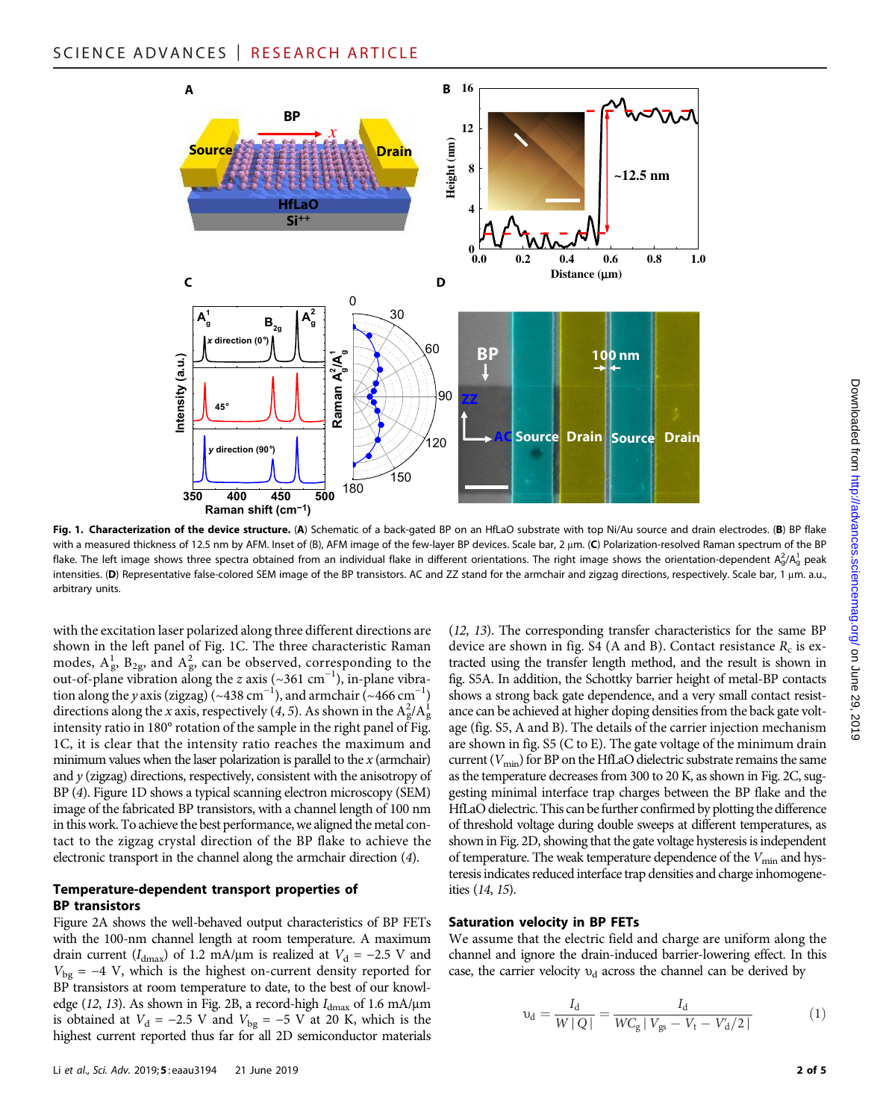

Fig. 1. Characterization of the device structure. (A) Schematic of a back-gated BP on an HfLaO substrate with top Ni/Au source and drain electrodes. (B) BP flake with a measured thickness of 12.5 nm by AFM. Inset of (B), AFM image of the few-layer BP devices. Scale bar, 2 µm. (C) Polarization-resolved Raman spectrum of the BP flake. The left image shows three spectra obtained from an individual flake in different orientations. The right image shows the orientation-dependent  $A^2_g/A^1_g$  peak intensities. (D) Representative false-colored SEM image of the BP transistors. AC and ZZ stand for the armchair and zigzag directions, respectively. Scale bar, 1 µm. a.u., arbitrary units.

with the excitation laser polarized along three different directions are shown in the left panel of Fig. 1C. The three characteristic Raman modes,  $A_g^1$ ,  $B_{2g}$ , and  $A_g^2$ , can be observed, corresponding to the out-of-plane vibration along the z axis (~361 cm<sup>-1</sup>), in-plane vibration along the y axis (zigzag) (~438 cm<sup>-1</sup>), and armchair (~466 cm<sup>-1</sup>) directions along the x axis, respectively (4, 5). As shown in the  $A_g^2/A_g^1$ intensity ratio in 180° rotation of the sample in the right panel of Fig. 1C, it is clear that the intensity ratio reaches the maximum and minimum values when the laser polarization is parallel to the  $x$  (armchair) and  $y$  (zigzag) directions, respectively, consistent with the anisotropy of BP (4). Figure 1D shows a typical scanning electron microscopy (SEM) image of the fabricated BP transistors, with a channel length of 100 nm in this work. To achieve the best performance, we aligned the metal contact to the zigzag crystal direction of the BP flake to achieve the electronic transport in the channel along the armchair direction (4).

#### Temperature-dependent transport properties of BP transistors

Figure 2A shows the well-behaved output characteristics of BP FETs with the 100-nm channel length at room temperature. A maximum drain current ( $I_{\text{dmax}}$ ) of 1.2 mA/µm is realized at  $V_d = -2.5$  V and  $V_{\text{bg}} = -4$  V, which is the highest on-current density reported for BP transistors at room temperature to date, to the best of our knowledge (12, 13). As shown in Fig. 2B, a record-high  $I_{\text{dmax}}$  of 1.6 mA/ $\mu$ m is obtained at  $V_d = -2.5$  V and  $V_{bg} = -5$  V at 20 K, which is the highest current reported thus far for all 2D semiconductor materials (12, 13). The corresponding transfer characteristics for the same BP device are shown in fig. S4 (A and B). Contact resistance  $R_c$  is extracted using the transfer length method, and the result is shown in fig. S5A. In addition, the Schottky barrier height of metal-BP contacts shows a strong back gate dependence, and a very small contact resistance can be achieved at higher doping densities from the back gate voltage (fig. S5, A and B). The details of the carrier injection mechanism are shown in fig. S5 (C to E). The gate voltage of the minimum drain current  $(V_{\text{min}})$  for BP on the HfLaO dielectric substrate remains the same as the temperature decreases from 300 to 20 K, as shown in Fig. 2C, suggesting minimal interface trap charges between the BP flake and the HfLaO dielectric. This can be further confirmed by plotting the difference of threshold voltage during double sweeps at different temperatures, as shown in Fig. 2D, showing that the gate voltage hysteresis is independent of temperature. The weak temperature dependence of the  $V_{\text{min}}$  and hysteresis indicates reduced interface trap densities and charge inhomogeneities (14, 15).

#### Saturation velocity in BP FETs

We assume that the electric field and charge are uniform along the channel and ignore the drain-induced barrier-lowering effect. In this case, the carrier velocity  $v_d$  across the channel can be derived by

$$
\upsilon_{\rm d} = \frac{I_{\rm d}}{W\,|\,Q\,|} = \frac{I_{\rm d}}{W C_{\rm g}\,|\,V_{\rm gs} - V_{\rm t} - V_{\rm d}'/2\,|} \tag{1}
$$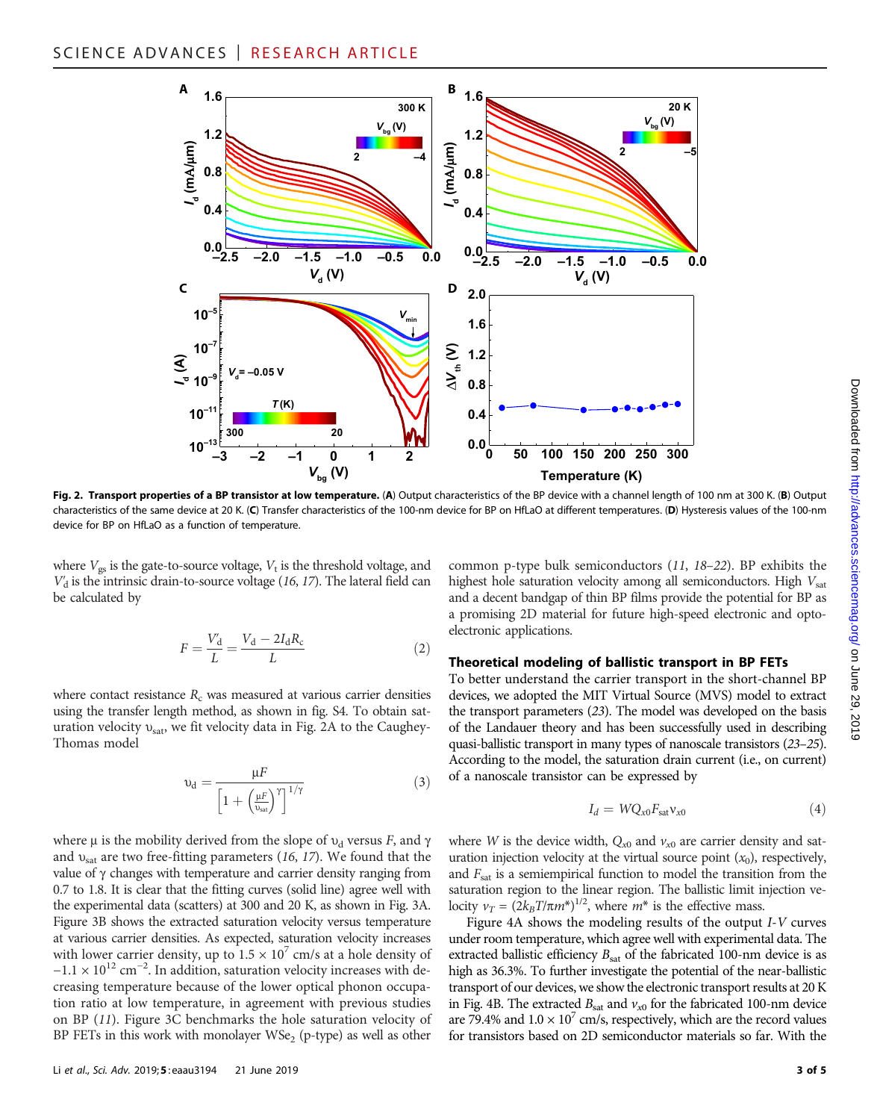

Fig. 2. Transport properties of a BP transistor at low temperature. (A) Output characteristics of the BP device with a channel length of 100 nm at 300 K. (B) Output characteristics of the same device at 20 K. (C) Transfer characteristics of the 100-nm device for BP on HfLaO at different temperatures. (D) Hysteresis values of the 100-nm device for BP on HfLaO as a function of temperature.

where  $V_{gs}$  is the gate-to-source voltage,  $V_t$  is the threshold voltage, and  $V'_{d}$  is the intrinsic drain-to-source voltage (16, 17). The lateral field can be calculated by

$$
F = \frac{V_d}{L} = \frac{V_d - 2I_dR_c}{L}
$$
 (2)

where contact resistance  $R_c$  was measured at various carrier densities using the transfer length method, as shown in fig. S4. To obtain saturation velocity  $v_{\text{sat}}$ , we fit velocity data in Fig. 2A to the Caughey-Thomas model

$$
\upsilon_d = \frac{\mu F}{\left[1 + \left(\frac{\mu F}{\upsilon_{\rm sat}}\right)^{\gamma}\right]^{1/\gamma}}
$$
(3)

where  $\mu$  is the mobility derived from the slope of  $v_d$  versus F, and  $\gamma$ and  $v_{\text{sat}}$  are two free-fitting parameters (16, 17). We found that the value of  $\gamma$  changes with temperature and carrier density ranging from 0.7 to 1.8. It is clear that the fitting curves (solid line) agree well with the experimental data (scatters) at 300 and 20 K, as shown in Fig. 3A. Figure 3B shows the extracted saturation velocity versus temperature at various carrier densities. As expected, saturation velocity increases with lower carrier density, up to  $1.5 \times 10^7$  cm/s at a hole density of  $-1.1 \times 10^{12}$  cm<sup>-2</sup>. In addition, saturation velocity increases with decreasing temperature because of the lower optical phonon occupation ratio at low temperature, in agreement with previous studies on BP (11). Figure 3C benchmarks the hole saturation velocity of BP FETs in this work with monolayer  $WSe_2$  (p-type) as well as other

common p-type bulk semiconductors (11, 18–22). BP exhibits the highest hole saturation velocity among all semiconductors. High  $V_{\text{sat}}$ and a decent bandgap of thin BP films provide the potential for BP as a promising 2D material for future high-speed electronic and optoelectronic applications.

## Theoretical modeling of ballistic transport in BP FETs

To better understand the carrier transport in the short-channel BP devices, we adopted the MIT Virtual Source (MVS) model to extract the transport parameters (23). The model was developed on the basis of the Landauer theory and has been successfully used in describing quasi-ballistic transport in many types of nanoscale transistors (23–25). According to the model, the saturation drain current (i.e., on current) of a nanoscale transistor can be expressed by

$$
I_d = WQ_{x0}F_{\text{sat}}v_{x0} \tag{4}
$$

where W is the device width,  $Q_{x0}$  and  $v_{x0}$  are carrier density and saturation injection velocity at the virtual source point  $(x_0)$ , respectively, and  $F_{\text{sat}}$  is a semiempirical function to model the transition from the saturation region to the linear region. The ballistic limit injection velocity  $v_T = (2k_BT/\pi m^*)^{1/2}$ , where  $m^*$  is the effective mass.<br>Figure 4A shows the modeling results of the output

Figure 4A shows the modeling results of the output I-V curves under room temperature, which agree well with experimental data. The extracted ballistic efficiency  $B_{\text{sat}}$  of the fabricated 100-nm device is as high as 36.3%. To further investigate the potential of the near-ballistic transport of our devices, we show the electronic transport results at 20 K in Fig. 4B. The extracted  $B_{\text{sat}}$  and  $v_{\text{at}}$  for the fabricated 100-nm device are 79.4% and  $1.0 \times 10^7$  cm/s, respectively, which are the record values for transistors based on 2D semiconductor materials so far. With the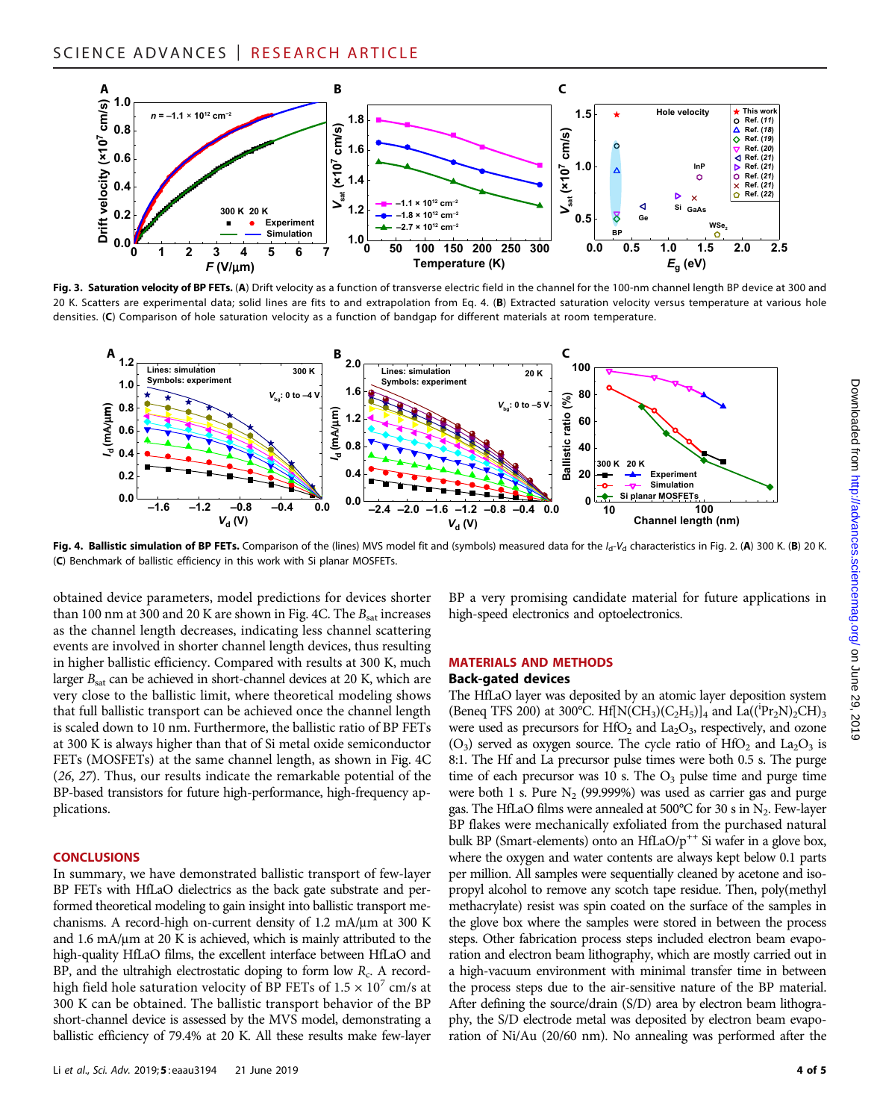

Fig. 3. Saturation velocity of BP FETs. (A) Drift velocity as a function of transverse electric field in the channel for the 100-nm channel length BP device at 300 and 20 K. Scatters are experimental data; solid lines are fits to and extrapolation from Eq. 4. (B) Extracted saturation velocity versus temperature at various hole densities. (C) Comparison of hole saturation velocity as a function of bandgap for different materials at room temperature.



Fig. 4. Ballistic simulation of BP FETs. Comparison of the (lines) MVS model fit and (symbols) measured data for the  $I_d$ - $V_d$  characteristics in Fig. 2. (A) 300 K. (B) 20 K. (C) Benchmark of ballistic efficiency in this work with Si planar MOSFETs.

obtained device parameters, model predictions for devices shorter than 100 nm at 300 and 20 K are shown in Fig. 4C. The  $B_{sat}$  increases as the channel length decreases, indicating less channel scattering events are involved in shorter channel length devices, thus resulting in higher ballistic efficiency. Compared with results at 300 K, much larger  $B_{\text{sat}}$  can be achieved in short-channel devices at 20 K, which are very close to the ballistic limit, where theoretical modeling shows that full ballistic transport can be achieved once the channel length is scaled down to 10 nm. Furthermore, the ballistic ratio of BP FETs at 300 K is always higher than that of Si metal oxide semiconductor FETs (MOSFETs) at the same channel length, as shown in Fig. 4C (26, 27). Thus, our results indicate the remarkable potential of the BP-based transistors for future high-performance, high-frequency applications.

#### **CONCLUSIONS**

In summary, we have demonstrated ballistic transport of few-layer BP FETs with HfLaO dielectrics as the back gate substrate and performed theoretical modeling to gain insight into ballistic transport mechanisms. A record-high on-current density of  $1.2 \text{ mA}/\mu\text{m}$  at  $300 \text{ K}$ and  $1.6 \text{ mA}$ / $\mu$ m at  $20 \text{ K}$  is achieved, which is mainly attributed to the high-quality HfLaO films, the excellent interface between HfLaO and BP, and the ultrahigh electrostatic doping to form low  $R_c$ . A recordhigh field hole saturation velocity of BP FETs of  $1.5 \times 10^7$  cm/s at 300 K can be obtained. The ballistic transport behavior of the BP short-channel device is assessed by the MVS model, demonstrating a ballistic efficiency of 79.4% at 20 K. All these results make few-layer

BP a very promising candidate material for future applications in high-speed electronics and optoelectronics.

#### MATERIALS AND METHODS

#### Back-gated devices

The HfLaO layer was deposited by an atomic layer deposition system (Beneq TFS 200) at 300°C. Hf[N(CH<sub>3</sub>)(C<sub>2</sub>H<sub>5</sub>)]<sub>4</sub> and La((<sup>i</sup>Pr<sub>2</sub>N)<sub>2</sub>CH)<sub>3</sub> were used as precursors for  $HfO<sub>2</sub>$  and  $La<sub>2</sub>O<sub>3</sub>$ , respectively, and ozone  $(O_3)$  served as oxygen source. The cycle ratio of HfO<sub>2</sub> and La<sub>2</sub>O<sub>3</sub> is 8:1. The Hf and La precursor pulse times were both 0.5 s. The purge time of each precursor was 10 s. The  $O_3$  pulse time and purge time were both 1 s. Pure  $N_2$  (99.999%) was used as carrier gas and purge gas. The HfLaO films were annealed at  $500^{\circ}$ C for 30 s in N<sub>2</sub>. Few-layer BP flakes were mechanically exfoliated from the purchased natural bulk BP (Smart-elements) onto an HfLaO/ $p^{++}$  Si wafer in a glove box, where the oxygen and water contents are always kept below 0.1 parts per million. All samples were sequentially cleaned by acetone and isopropyl alcohol to remove any scotch tape residue. Then, poly(methyl methacrylate) resist was spin coated on the surface of the samples in the glove box where the samples were stored in between the process steps. Other fabrication process steps included electron beam evaporation and electron beam lithography, which are mostly carried out in a high-vacuum environment with minimal transfer time in between the process steps due to the air-sensitive nature of the BP material. After defining the source/drain (S/D) area by electron beam lithography, the S/D electrode metal was deposited by electron beam evaporation of Ni/Au (20/60 nm). No annealing was performed after the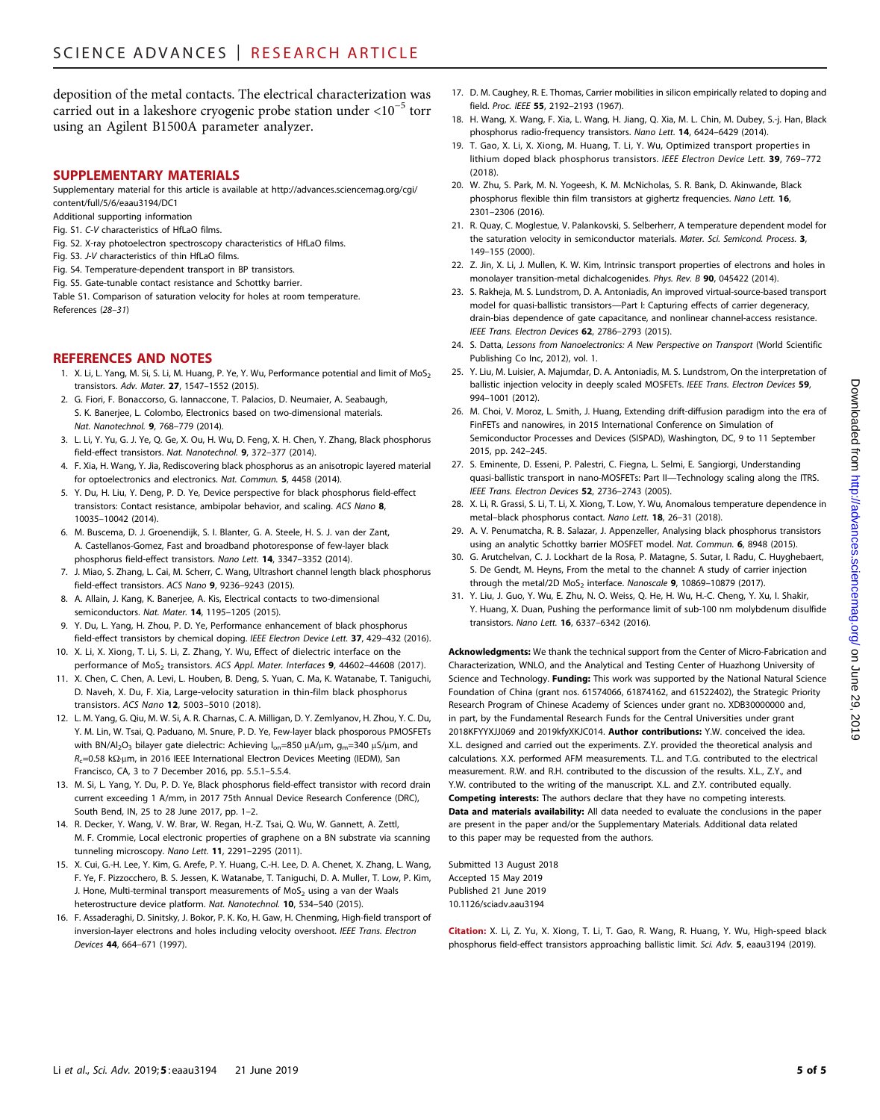deposition of the metal contacts. The electrical characterization was carried out in a lakeshore cryogenic probe station under <10−<sup>5</sup> torr using an Agilent B1500A parameter analyzer.

#### SUPPLEMENTARY MATERIALS

Supplementary material for this article is available at [http://advances.sciencemag.org/cgi/](http://advances.sciencemag.org/cgi/content/full/5/6/eaau3194/DC1) [content/full/5/6/eaau3194/DC1](http://advances.sciencemag.org/cgi/content/full/5/6/eaau3194/DC1)

Additional supporting information

- Fig. S1. C-V characteristics of HfLaO films.
- Fig. S2. X-ray photoelectron spectroscopy characteristics of HfLaO films.
- Fig. S3. J-V characteristics of thin HfLaO films.
- Fig. S4. Temperature-dependent transport in BP transistors.
- Fig. S5. Gate-tunable contact resistance and Schottky barrier.

Table S1. Comparison of saturation velocity for holes at room temperature. References (28–31)

#### REFERENCES AND NOTES

- 1. X. Li, L. Yang, M. Si, S. Li, M. Huang, P. Ye, Y. Wu, Performance potential and limit of MoS<sub>2</sub> transistors. Adv. Mater. 27, 1547–1552 (2015).
- 2. G. Fiori, F. Bonaccorso, G. Iannaccone, T. Palacios, D. Neumaier, A. Seabaugh, S. K. Banerjee, L. Colombo, Electronics based on two-dimensional materials. Nat. Nanotechnol. 9, 768–779 (2014).
- 3. L. Li, Y. Yu, G. J. Ye, Q. Ge, X. Ou, H. Wu, D. Feng, X. H. Chen, Y. Zhang, Black phosphorus field-effect transistors. Nat. Nanotechnol. 9, 372–377 (2014).
- 4. F. Xia, H. Wang, Y. Jia, Rediscovering black phosphorus as an anisotropic layered material for optoelectronics and electronics. Nat. Commun. 5, 4458 (2014).
- 5. Y. Du, H. Liu, Y. Deng, P. D. Ye, Device perspective for black phosphorus field-effect transistors: Contact resistance, ambipolar behavior, and scaling. ACS Nano 8, 10035–10042 (2014).
- 6. M. Buscema, D. J. Groenendijk, S. I. Blanter, G. A. Steele, H. S. J. van der Zant, A. Castellanos-Gomez, Fast and broadband photoresponse of few-layer black phosphorus field-effect transistors. Nano Lett. **14**, 3347-3352 (2014).
- 7. J. Miao, S. Zhang, L. Cai, M. Scherr, C. Wang, Ultrashort channel length black phosphorus field-effect transistors. ACS Nano 9, 9236–9243 (2015).
- 8. A. Allain, J. Kang, K. Banerjee, A. Kis, Electrical contacts to two-dimensional semiconductors. Nat. Mater. 14, 1195–1205 (2015).
- 9. Y. Du, L. Yang, H. Zhou, P. D. Ye, Performance enhancement of black phosphorus field-effect transistors by chemical doping. IEEE Electron Device Lett. 37, 429-432 (2016).
- 10. X. Li, X. Xiong, T. Li, S. Li, Z. Zhang, Y. Wu, Effect of dielectric interface on the performance of MoS<sub>2</sub> transistors. ACS Appl. Mater. Interfaces 9, 44602-44608 (2017).
- 11. X. Chen, C. Chen, A. Levi, L. Houben, B. Deng, S. Yuan, C. Ma, K. Watanabe, T. Taniguchi, D. Naveh, X. Du, F. Xia, Large-velocity saturation in thin-film black phosphorus transistors. ACS Nano 12, 5003–5010 (2018).
- 12. L. M. Yang, G. Qiu, M. W. Si, A. R. Charnas, C. A. Milligan, D. Y. Zemlyanov, H. Zhou, Y. C. Du, Y. M. Lin, W. Tsai, Q. Paduano, M. Snure, P. D. Ye, Few-layer black phosporous PMOSFETs with BN/Al<sub>2</sub>O<sub>3</sub> bilayer gate dielectric: Achieving I<sub>on</sub>=850 µA/µm, g<sub>m</sub>=340 µS/µm, and  $R_c$ =0.58 k $\Omega$ ·µm, in 2016 IEEE International Electron Devices Meeting (IEDM), San Francisco, CA, 3 to 7 December 2016, pp. 5.5.1–5.5.4.
- 13. M. Si, L. Yang, Y. Du, P. D. Ye, Black phosphorus field-effect transistor with record drain current exceeding 1 A/mm, in 2017 75th Annual Device Research Conference (DRC), South Bend, IN, 25 to 28 June 2017, pp. 1–2.
- 14. R. Decker, Y. Wang, V. W. Brar, W. Regan, H.-Z. Tsai, Q. Wu, W. Gannett, A. Zettl, M. F. Crommie, Local electronic properties of graphene on a BN substrate via scanning tunneling microscopy. Nano Lett. 11, 2291-2295 (2011).
- 15. X. Cui, G.-H. Lee, Y. Kim, G. Arefe, P. Y. Huang, C.-H. Lee, D. A. Chenet, X. Zhang, L. Wang, F. Ye, F. Pizzocchero, B. S. Jessen, K. Watanabe, T. Taniguchi, D. A. Muller, T. Low, P. Kim, J. Hone, Multi-terminal transport measurements of  $MoS<sub>2</sub>$  using a van der Waals heterostructure device platform. Nat. Nanotechnol. 10, 534–540 (2015).
- 16. F. Assaderaghi, D. Sinitsky, J. Bokor, P. K. Ko, H. Gaw, H. Chenming, High-field transport of inversion-layer electrons and holes including velocity overshoot. IEEE Trans. Electron Devices 44, 664–671 (1997).
- 17. D. M. Caughey, R. E. Thomas, Carrier mobilities in silicon empirically related to doping and field. Proc. IEEE 55, 2192–2193 (1967).
- 18. H. Wang, X. Wang, F. Xia, L. Wang, H. Jiang, Q. Xia, M. L. Chin, M. Dubey, S.-j. Han, Black phosphorus radio-frequency transistors. Nano Lett. 14, 6424–6429 (2014).
- 19. T. Gao, X. Li, X. Xiong, M. Huang, T. Li, Y. Wu, Optimized transport properties in lithium doped black phosphorus transistors. IEEE Electron Device Lett. 39, 769–772 (2018).
- 20. W. Zhu, S. Park, M. N. Yogeesh, K. M. McNicholas, S. R. Bank, D. Akinwande, Black phosphorus flexible thin film transistors at gighertz frequencies. Nano Lett. 16, 2301–2306 (2016).
- 21. R. Quay, C. Moglestue, V. Palankovski, S. Selberherr, A temperature dependent model for the saturation velocity in semiconductor materials. Mater. Sci. Semicond. Process. 3, 149–155 (2000).
- 22. Z. Jin, X. Li, J. Mullen, K. W. Kim, Intrinsic transport properties of electrons and holes in monolayer transition-metal dichalcogenides. Phys. Rev. B 90, 045422 (2014).
- 23. S. Rakheja, M. S. Lundstrom, D. A. Antoniadis, An improved virtual-source-based transport model for quasi-ballistic transistors—Part I: Capturing effects of carrier degeneracy, drain-bias dependence of gate capacitance, and nonlinear channel-access resistance. IEEE Trans. Electron Devices 62, 2786-2793 (2015).
- 24. S. Datta, Lessons from Nanoelectronics: A New Perspective on Transport (World Scientific Publishing Co Inc, 2012), vol. 1.
- 25. Y. Liu, M. Luisier, A. Majumdar, D. A. Antoniadis, M. S. Lundstrom, On the interpretation of ballistic injection velocity in deeply scaled MOSFETs. IEEE Trans. Electron Devices 59, 994–1001 (2012).
- 26. M. Choi, V. Moroz, L. Smith, J. Huang, Extending drift-diffusion paradigm into the era of FinFETs and nanowires, in 2015 International Conference on Simulation of Semiconductor Processes and Devices (SISPAD), Washington, DC, 9 to 11 September 2015, pp. 242–245.
- 27. S. Eminente, D. Esseni, P. Palestri, C. Fiegna, L. Selmi, E. Sangiorgi, Understanding quasi-ballistic transport in nano-MOSFETs: Part II—Technology scaling along the ITRS. IEEE Trans. Electron Devices 52, 2736–2743 (2005).
- 28. X. Li, R. Grassi, S. Li, T. Li, X. Xiong, T. Low, Y. Wu, Anomalous temperature dependence in metal–black phosphorus contact. Nano Lett. 18, 26–31 (2018).
- 29. A. V. Penumatcha, R. B. Salazar, J. Appenzeller, Analysing black phosphorus transistors using an analytic Schottky barrier MOSFET model. Nat. Commun. 6, 8948 (2015).
- 30. G. Arutchelvan, C. J. Lockhart de la Rosa, P. Matagne, S. Sutar, I. Radu, C. Huyghebaert, S. De Gendt, M. Heyns, From the metal to the channel: A study of carrier injection through the metal/2D MoS<sub>2</sub> interface. Nanoscale  $9.10869-10879$  (2017).
- 31. Y. Liu, J. Guo, Y. Wu, E. Zhu, N. O. Weiss, Q. He, H. Wu, H.-C. Cheng, Y. Xu, I. Shakir, Y. Huang, X. Duan, Pushing the performance limit of sub-100 nm molybdenum disulfide transistors. Nano Lett. 16, 6337–6342 (2016).

Acknowledgments: We thank the technical support from the Center of Micro-Fabrication and Characterization, WNLO, and the Analytical and Testing Center of Huazhong University of Science and Technology. Funding: This work was supported by the National Natural Science Foundation of China (grant nos. 61574066, 61874162, and 61522402), the Strategic Priority Research Program of Chinese Academy of Sciences under grant no. XDB30000000 and, in part, by the Fundamental Research Funds for the Central Universities under grant 2018KFYYXJJ069 and 2019kfvXKJC014. Author contributions: Y.W. conceived the idea X.L. designed and carried out the experiments. Z.Y. provided the theoretical analysis and calculations. X.X. performed AFM measurements. T.L. and T.G. contributed to the electrical measurement. R.W. and R.H. contributed to the discussion of the results. X.L., Z.Y., and Y.W. contributed to the writing of the manuscript. X.L. and Z.Y. contributed equally. Competing interests: The authors declare that they have no competing interests. Data and materials availability: All data needed to evaluate the conclusions in the paper are present in the paper and/or the Supplementary Materials. Additional data related to this paper may be requested from the authors.

Submitted 13 August 2018 Accepted 15 May 2019 Published 21 June 2019 10.1126/sciadv.aau3194

Citation: X. Li, Z. Yu, X. Xiong, T. Li, T. Gao, R. Wang, R. Huang, Y. Wu, High-speed black phosphorus field-effect transistors approaching ballistic limit. Sci. Adv. 5, eaau3194 (2019).